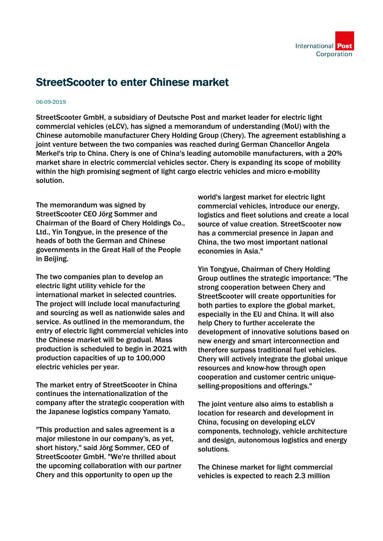

## StreetScooter to enter Chinese market

## 06-09-2019

StreetScooter GmbH, a subsidiary of Deutsche Post and market leader for electric light commercial vehicles (eLCV), has signed a memorandum of understanding (MoU) with the Chinese automobile manufacturer Chery Holding Group (Chery). The agreement establishing a joint venture between the two companies was reached during German Chancellor Angela Merkel's trip to China. Chery is one of China's leading automobile manufacturers, with a 20% market share in electric commercial vehicles sector. Chery is expanding its scope of mobility within the high promising segment of light cargo electric vehicles and micro e-mobility solution.

The memorandum was signed by StreetScooter CEO Jörg Sommer and Chairman of the Board of Chery Holdings Co., Ltd., Yin Tongyue, in the presence of the heads of both the German and Chinese governments in the Great Hall of the People in Beijing.

The two companies plan to develop an electric light utility vehicle for the international market in selected countries. The project will include local manufacturing and sourcing as well as nationwide sales and service. As outlined in the memorandum, the entry of electric light commercial vehicles into the Chinese market will be gradual. Mass production is scheduled to begin in 2021 with production capacities of up to 100,000 electric vehicles per year.

The market entry of StreetScooter in China continues the internationalization of the company after the strategic cooperation with the Japanese logistics company Yamato.

"This production and sales agreement is a major milestone in our company's, as yet, short history," said Jörg Sommer, CEO of StreetScooter GmbH. "We're thrilled about the upcoming collaboration with our partner Chery and this opportunity to open up the

world's largest market for electric light commercial vehicles, introduce our energy, logistics and fleet solutions and create a local source of value creation. StreetScooter now has a commercial presence in Japan and China, the two most important national economies in Asia."

Yin Tongyue, Chairman of Chery Holding Group outlines the strategic importance: "The strong cooperation between Chery and StreetScooter will create opportunities for both parties to explore the global market, especially in the EU and China. It will also help Chery to further accelerate the development of innovative solutions based on new energy and smart interconnection and therefore surpass traditional fuel vehicles. Chery will actively integrate the global unique resources and know-how through open cooperation and customer centric uniqueselling-propositions and offerings."

The joint venture also aims to establish a location for research and development in China, focusing on developing eLCV components, technology, vehicle architecture and design, autonomous logistics and energy solutions.

The Chinese market for light commercial vehicles is expected to reach 2.3 million